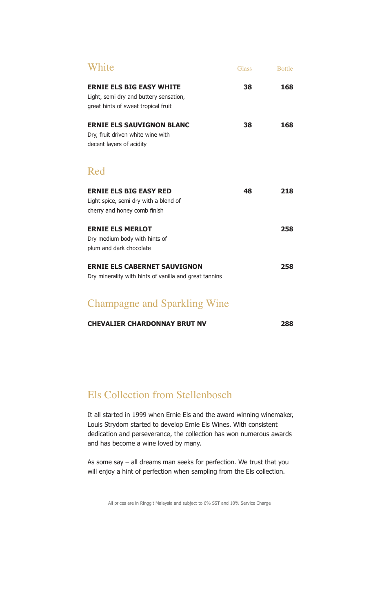| White                                                                                                            | <b>Glass</b> | <b>Bottle</b> |
|------------------------------------------------------------------------------------------------------------------|--------------|---------------|
| <b>ERNIE ELS BIG EASY WHITE</b><br>Light, semi dry and buttery sensation,<br>great hints of sweet tropical fruit | 38           | 168           |
| <b>ERNIE ELS SAUVIGNON BLANC</b><br>Dry, fruit driven white wine with<br>decent layers of acidity                | 38           | 168           |
| Red                                                                                                              |              |               |
| <b>ERNIE ELS BIG EASY RED</b><br>Light spice, semi dry with a blend of<br>cherry and honey comb finish           | 48           | 218           |
| <b>ERNIE ELS MERLOT</b><br>Dry medium body with hints of<br>plum and dark chocolate                              |              | 258           |
| <b>ERNIE ELS CABERNET SAUVIGNON</b><br>Dry minerality with hints of vanilla and great tannins                    |              | 258           |
| $1 \cap 11'$ $\overline{11'}$<br>$\sim$ 1                                                                        |              |               |

#### Champagne and Sparkling Wine

| <b>CHEVALIER CHARDONNAY BRUT NV</b> | 288 |
|-------------------------------------|-----|
|                                     |     |

#### Els Collection from Stellenbosch

It all started in 1999 when Ernie Els and the award winning winemaker, Louis Strydom started to develop Ernie Els Wines. With consistent dedication and perseverance, the collection has won numerous awards and has become a wine loved by many.

As some say – all dreams man seeks for perfection. We trust that you will enjoy a hint of perfection when sampling from the Els collection.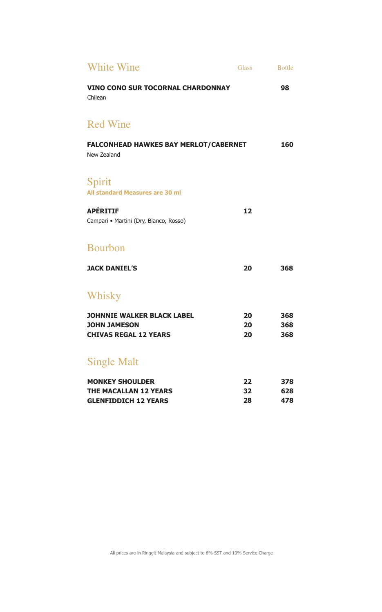| <b>White Wine</b>                                           | <b>Glass</b> | <b>Bottle</b> |
|-------------------------------------------------------------|--------------|---------------|
| <b>VINO CONO SUR TOCORNAL CHARDONNAY</b><br>Chilean         |              | 98            |
| <b>Red Wine</b>                                             |              |               |
| <b>FALCONHEAD HAWKES BAY MERLOT/CABERNET</b><br>New Zealand |              | 160           |
| Spirit<br>All standard Measures are 30 ml                   |              |               |
| <b>APÉRITIF</b><br>Campari · Martini (Dry, Bianco, Rosso)   | 12           |               |
| <b>Bourbon</b>                                              |              |               |
| <b>JACK DANIEL'S</b>                                        | 20           | 368           |
| Whisky                                                      |              |               |
| <b>JOHNNIE WALKER BLACK LABEL</b><br><b>JOHN JAMESON</b>    | 20<br>20     | 368<br>368    |
| <b>CHIVAS REGAL 12 YEARS</b>                                | 20           | 368           |
| <b>Single Malt</b>                                          |              |               |
| <b>MONKEY SHOULDER</b>                                      | 22           | 378           |
| <b>THE MACALLAN 12 YEARS</b><br><b>GLENFIDDICH 12 YEARS</b> | 32<br>28     | 628<br>478    |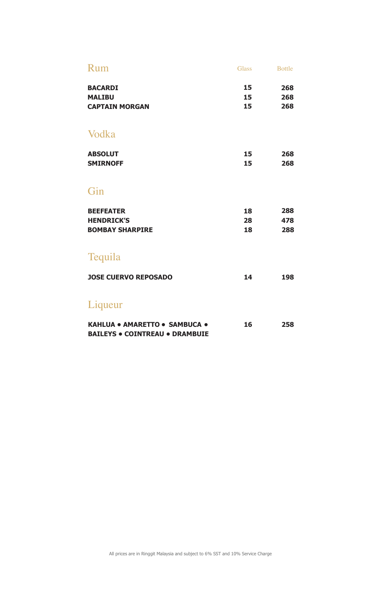| Rum                                                                    | <b>Glass</b>   | <b>Bottle</b>     |
|------------------------------------------------------------------------|----------------|-------------------|
| <b>BACARDI</b><br><b>MALIBU</b><br><b>CAPTAIN MORGAN</b>               | 15<br>15<br>15 | 268<br>268<br>268 |
| Vodka                                                                  |                |                   |
| <b>ABSOLUT</b><br><b>SMIRNOFF</b>                                      | 15<br>15       | 268<br>268        |
| Gin                                                                    |                |                   |
| <b>BEEFEATER</b><br><b>HENDRICK'S</b><br><b>BOMBAY SHARPIRE</b>        | 18<br>28<br>18 | 288<br>478<br>288 |
| Tequila                                                                |                |                   |
| <b>JOSE CUERVO REPOSADO</b>                                            | 14             | 198               |
| Liqueur                                                                |                |                   |
| KAHLUA . AMARETTO . SAMBUCA .<br><b>BAILEYS . COINTREAU . DRAMBUIE</b> | 16             | 258               |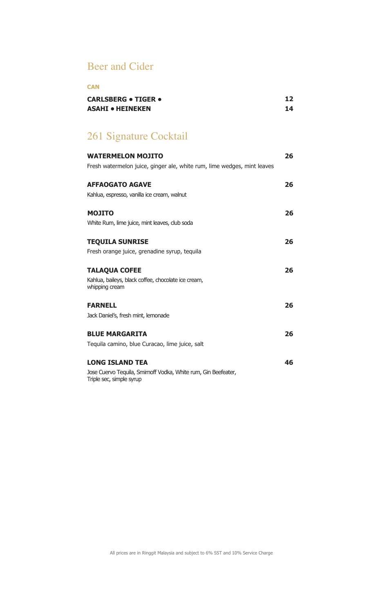#### Beer and Cider

#### **CAN**

| <b>CARLSBERG • TIGER •</b> | 12 |
|----------------------------|----|
| ASAHI • HEINEKEN           |    |

## 261 Signature Cocktail

| <b>WATERMELON MOJITO</b>                                                                   | 26 |
|--------------------------------------------------------------------------------------------|----|
| Fresh watermelon juice, ginger ale, white rum, lime wedges, mint leaves                    |    |
| <b>AFFAOGATO AGAVE</b>                                                                     | 26 |
| Kahlua, espresso, vanilla ice cream, walnut                                                |    |
| <b>MOJITO</b>                                                                              | 26 |
| White Rum, lime juice, mint leaves, club soda                                              |    |
| <b>TEQUILA SUNRISE</b>                                                                     | 26 |
| Fresh orange juice, grenadine syrup, tequila                                               |    |
| <b>TALAQUA COFEE</b>                                                                       | 26 |
| Kahlua, baileys, black coffee, chocolate ice cream,<br>whipping cream                      |    |
| <b>FARNELL</b>                                                                             | 26 |
| Jack Daniel's, fresh mint, lemonade                                                        |    |
| <b>BLUE MARGARITA</b>                                                                      | 26 |
| Tequila camino, blue Curacao, lime juice, salt                                             |    |
| <b>LONG ISLAND TEA</b>                                                                     | 46 |
| Jose Cuervo Tequila, Smirnoff Vodka, White rum, Gin Beefeater,<br>Triple sec, simple syrup |    |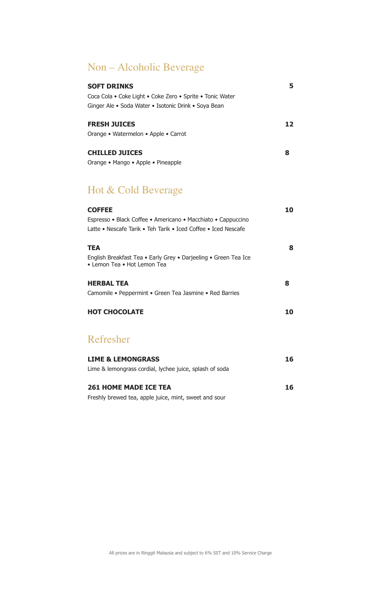#### Non – Alcoholic Beverage

| <b>SOFT DRINKS</b>                                        |    |
|-----------------------------------------------------------|----|
| Coca Cola • Coke Light • Coke Zero • Sprite • Tonic Water |    |
| Ginger Ale • Soda Water • Isotonic Drink • Soya Bean      |    |
|                                                           |    |
| <b>FRESH JUICES</b>                                       | 12 |
| Orange • Watermelon • Apple • Carrot                      |    |
|                                                           |    |
| <b>CHILLED JUICES</b>                                     | 8  |
| Orange • Mango • Apple • Pineapple                        |    |

#### Hot & Cold Beverage

| 10<br><b>COFFEE</b>                                                                            |   |
|------------------------------------------------------------------------------------------------|---|
| Espresso • Black Coffee • Americano • Macchiato • Cappuccino                                   |   |
| Latte • Nescafe Tarik • Teh Tarik • Iced Coffee • Iced Nescafe                                 |   |
|                                                                                                |   |
| <b>TEA</b>                                                                                     | 8 |
| English Breakfast Tea • Early Grey • Darjeeling • Green Tea Ice<br>• Lemon Tea • Hot Lemon Tea |   |
| <b>HERBAL TEA</b><br>8                                                                         |   |
| Camomile • Peppermint • Green Tea Jasmine • Red Barries                                        |   |
| <b>HOT CHOCOLATE</b><br>10                                                                     |   |
| Refresher                                                                                      |   |
| <b>LIME &amp; LEMONGRASS</b><br>16                                                             |   |
| Lime & lemongrass cordial, lychee juice, splash of soda                                        |   |
| <b>261 HOME MADE ICE TEA</b><br>16                                                             |   |
| Freshly brewed tea, apple juice, mint, sweet and sour                                          |   |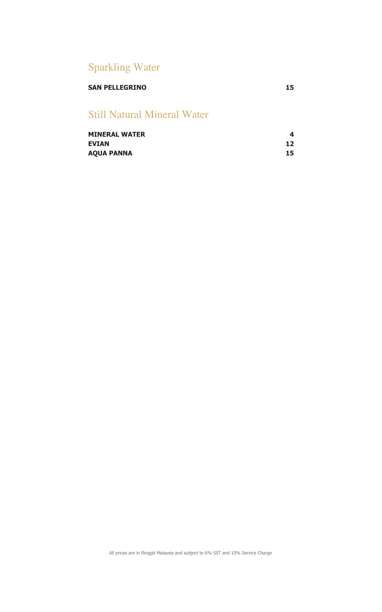### Sparkling Water

#### **SAN PELLEGRINO 15**

#### Still Natural Mineral Water

| <b>MINERAL WATER</b> |    |
|----------------------|----|
| <b>EVIAN</b>         | 12 |
| <b>AQUA PANNA</b>    | 15 |